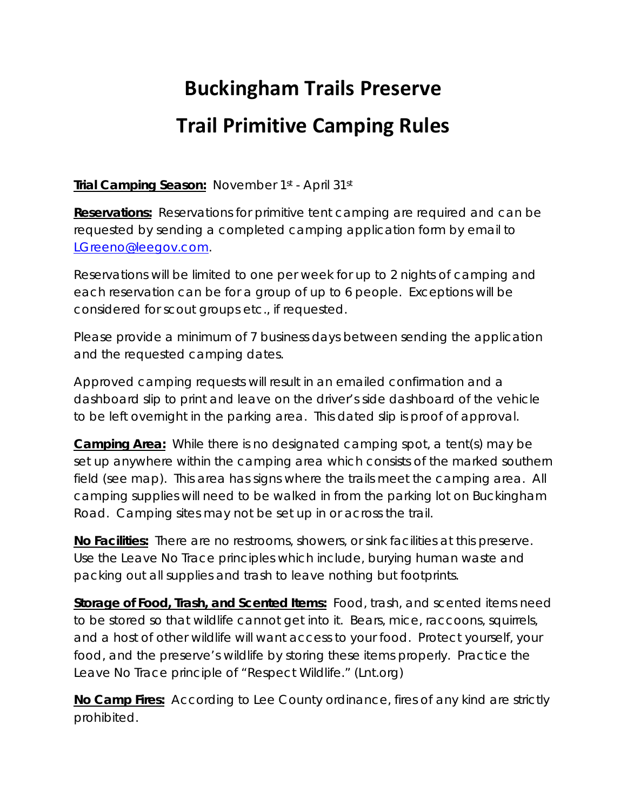# **Buckingham Trails Preserve**

### **Trail Primitive Camping Rules**

**Trial Camping Season:** November 1st - April 31st

**Reservations:** Reservations for primitive tent camping are required and can be requested by sending a completed camping application form by email to [LGreeno@leegov.com.](mailto:LGreeno@leegov.com)

Reservations will be limited to one per week for up to 2 nights of camping and each reservation can be for a group of up to 6 people. Exceptions will be considered for scout groups etc., if requested.

Please provide a minimum of 7 business days between sending the application and the requested camping dates.

Approved camping requests will result in an emailed confirmation and a dashboard slip to print and leave on the driver's side dashboard of the vehicle to be left overnight in the parking area. This dated slip is proof of approval.

**Camping Area:** While there is no designated camping spot, a tent(s) may be set up anywhere within the camping area which consists of the marked southern field (see map). This area has signs where the trails meet the camping area. All camping supplies will need to be walked in from the parking lot on Buckingham Road. Camping sites may not be set up in or across the trail.

**No Facilities:** There are no restrooms, showers, or sink facilities at this preserve. Use the Leave No Trace principles which include, burying human waste and packing out all supplies and trash to leave nothing but footprints.

**Storage of Food, Trash, and Scented Items:** Food, trash, and scented items need to be stored so that wildlife cannot get into it. Bears, mice, raccoons, squirrels, and a host of other wildlife will want access to your food. Protect yourself, your food, and the preserve's wildlife by storing these items properly. Practice the Leave No Trace principle of "Respect Wildlife." (Lnt.org)

**No Camp Fires:** According to Lee County ordinance, fires of any kind are strictly prohibited.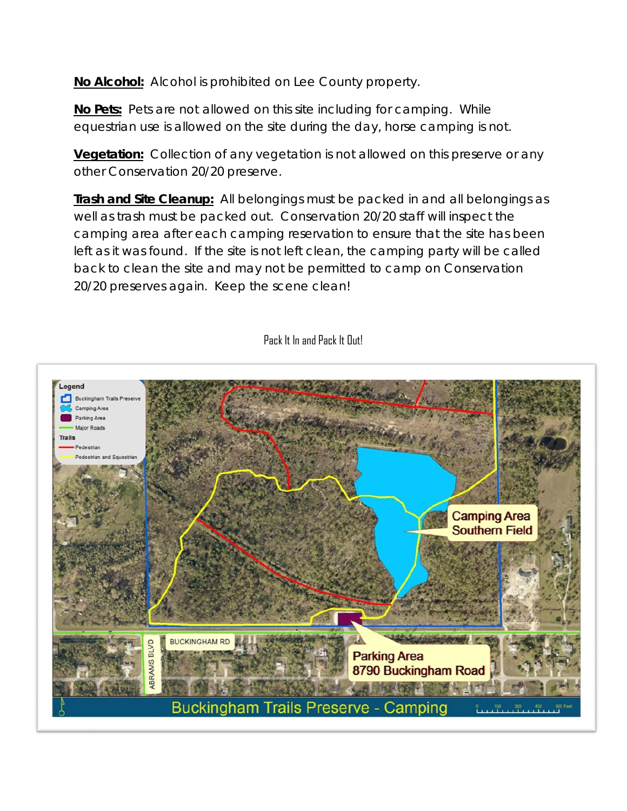**No Alcohol:** Alcohol is prohibited on Lee County property.

**No Pets:** Pets are not allowed on this site including for camping. While equestrian use is allowed on the site during the day, horse camping is not.

**Vegetation:** Collection of any vegetation is not allowed on this preserve or any other Conservation 20/20 preserve.

**Trash and Site Cleanup:** All belongings must be packed in and all belongings as well as trash must be packed out. Conservation 20/20 staff will inspect the camping area after each camping reservation to ensure that the site has been left as it was found. If the site is not left clean, the camping party will be called back to clean the site and may not be permitted to camp on Conservation 20/20 preserves again. Keep the scene clean!

#### Pack It In and Pack It Out!